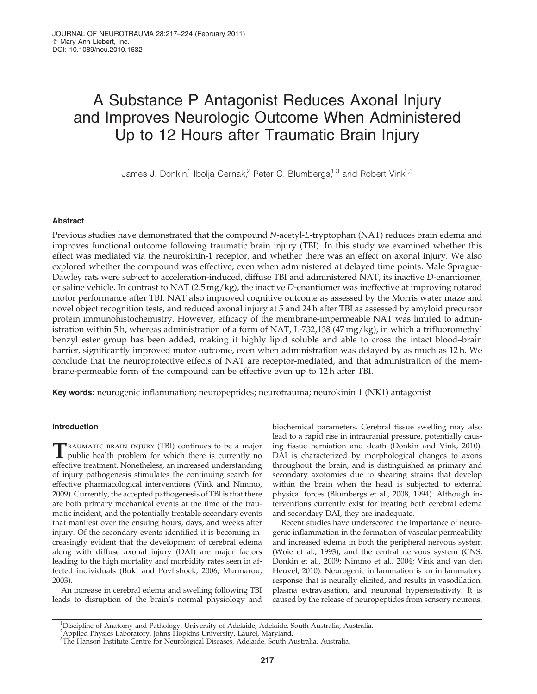# A Substance P Antagonist Reduces Axonal Injury and Improves Neurologic Outcome When Administered Up to 12 Hours after Traumatic Brain Injury

James J. Donkin,<sup>1</sup> Ibolja Cernak,<sup>2</sup> Peter C. Blumbergs,<sup>1,3</sup> and Robert Vink<sup>1,3</sup>

## Abstract

Previous studies have demonstrated that the compound N-acetyl-L-tryptophan (NAT) reduces brain edema and improves functional outcome following traumatic brain injury (TBI). In this study we examined whether this effect was mediated via the neurokinin-1 receptor, and whether there was an effect on axonal injury. We also explored whether the compound was effective, even when administered at delayed time points. Male Sprague-Dawley rats were subject to acceleration-induced, diffuse TBI and administered NAT, its inactive D-enantiomer, or saline vehicle. In contrast to NAT (2.5 mg/kg), the inactive D-enantiomer was ineffective at improving rotarod motor performance after TBI. NAT also improved cognitive outcome as assessed by the Morris water maze and novel object recognition tests, and reduced axonal injury at 5 and 24 h after TBI as assessed by amyloid precursor protein immunohistochemistry. However, efficacy of the membrane-impermeable NAT was limited to administration within 5 h, whereas administration of a form of NAT, L-732,138 (47 mg/kg), in which a trifluoromethyl benzyl ester group has been added, making it highly lipid soluble and able to cross the intact blood–brain barrier, significantly improved motor outcome, even when administration was delayed by as much as 12 h. We conclude that the neuroprotective effects of NAT are receptor-mediated, and that administration of the membrane-permeable form of the compound can be effective even up to 12 h after TBI.

Key words: neurogenic inflammation; neuropeptides; neurotrauma; neurokinin 1 (NK1) antagonist

# Introduction

TRAUMATIC BRAIN INJURY (TBI) continues to be a major<br>public health problem for which there is currently no effective treatment. Nonetheless, an increased understanding of injury pathogenesis stimulates the continuing search for effective pharmacological interventions (Vink and Nimmo, 2009). Currently, the accepted pathogenesis of TBI is that there are both primary mechanical events at the time of the traumatic incident, and the potentially treatable secondary events that manifest over the ensuing hours, days, and weeks after injury. Of the secondary events identified it is becoming increasingly evident that the development of cerebral edema along with diffuse axonal injury (DAI) are major factors leading to the high mortality and morbidity rates seen in affected individuals (Buki and Povlishock, 2006; Marmarou, 2003).

An increase in cerebral edema and swelling following TBI leads to disruption of the brain's normal physiology and

biochemical parameters. Cerebral tissue swelling may also lead to a rapid rise in intracranial pressure, potentially causing tissue herniation and death (Donkin and Vink, 2010). DAI is characterized by morphological changes to axons throughout the brain, and is distinguished as primary and secondary axotomies due to shearing strains that develop within the brain when the head is subjected to external physical forces (Blumbergs et al., 2008, 1994). Although interventions currently exist for treating both cerebral edema and secondary DAI, they are inadequate.

Recent studies have underscored the importance of neurogenic inflammation in the formation of vascular permeability and increased edema in both the peripheral nervous system (Woie et al., 1993), and the central nervous system (CNS; Donkin et al., 2009; Nimmo et al., 2004; Vink and van den Heuvel, 2010). Neurogenic inflammation is an inflammatory response that is neurally elicited, and results in vasodilation, plasma extravasation, and neuronal hypersensitivity. It is caused by the release of neuropeptides from sensory neurons,

<sup>&</sup>lt;sup>1</sup>Discipline of Anatomy and Pathology, University of Adelaide, Adelaide, South Australia, Australia.

<sup>2</sup> Applied Physics Laboratory, Johns Hopkins University, Laurel, Maryland. 3 The Hanson Institute Centre for Neurological Diseases, Adelaide, South Australia, Australia.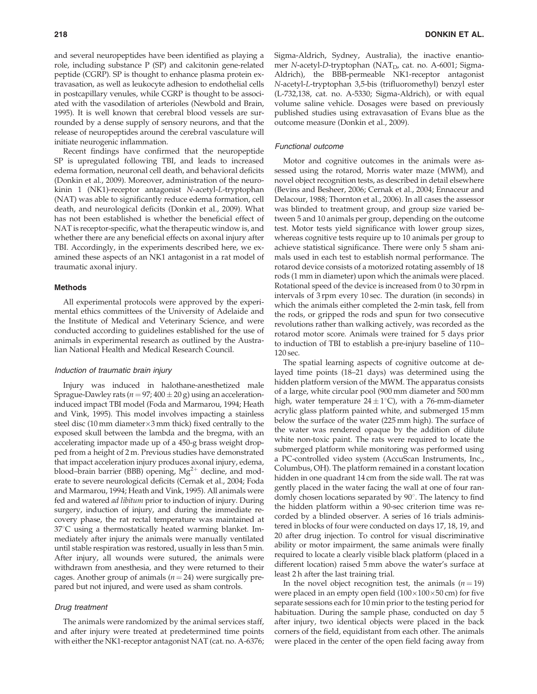and several neuropeptides have been identified as playing a role, including substance P (SP) and calcitonin gene-related peptide (CGRP). SP is thought to enhance plasma protein extravasation, as well as leukocyte adhesion to endothelial cells in postcapillary venules, while CGRP is thought to be associated with the vasodilation of arterioles (Newbold and Brain, 1995). It is well known that cerebral blood vessels are surrounded by a dense supply of sensory neurons, and that the release of neuropeptides around the cerebral vasculature will initiate neurogenic inflammation.

Recent findings have confirmed that the neuropeptide SP is upregulated following TBI, and leads to increased edema formation, neuronal cell death, and behavioral deficits (Donkin et al., 2009). Moreover, administration of the neurokinin 1 (NK1)-receptor antagonist N-acetyl-L-tryptophan (NAT) was able to significantly reduce edema formation, cell death, and neurological deficits (Donkin et al., 2009). What has not been established is whether the beneficial effect of NAT is receptor-specific, what the therapeutic window is, and whether there are any beneficial effects on axonal injury after TBI. Accordingly, in the experiments described here, we examined these aspects of an NK1 antagonist in a rat model of traumatic axonal injury.

#### Methods

All experimental protocols were approved by the experimental ethics committees of the University of Adelaide and the Institute of Medical and Veterinary Science, and were conducted according to guidelines established for the use of animals in experimental research as outlined by the Australian National Health and Medical Research Council.

#### Induction of traumatic brain injury

Injury was induced in halothane-anesthetized male Sprague-Dawley rats ( $n = 97;400 \pm 20$  g) using an accelerationinduced impact TBI model (Foda and Marmarou, 1994; Heath and Vink, 1995). This model involves impacting a stainless steel disc (10 mm diameter $\times$ 3 mm thick) fixed centrally to the exposed skull between the lambda and the bregma, with an accelerating impactor made up of a 450-g brass weight dropped from a height of 2 m. Previous studies have demonstrated that impact acceleration injury produces axonal injury, edema, blood–brain barrier (BBB) opening,  $Mg^{2+}$  decline, and moderate to severe neurological deficits (Cernak et al., 2004; Foda and Marmarou, 1994; Heath and Vink, 1995). All animals were fed and watered ad libitum prior to induction of injury. During surgery, induction of injury, and during the immediate recovery phase, the rat rectal temperature was maintained at  $37^{\circ}$ C using a thermostatically heated warming blanket. Immediately after injury the animals were manually ventilated until stable respiration was restored, usually in less than 5 min. After injury, all wounds were sutured, the animals were withdrawn from anesthesia, and they were returned to their cages. Another group of animals ( $n = 24$ ) were surgically prepared but not injured, and were used as sham controls.

## Drug treatment

The animals were randomized by the animal services staff, and after injury were treated at predetermined time points with either the NK1-receptor antagonist NAT (cat. no. A-6376; Sigma-Aldrich, Sydney, Australia), the inactive enantiomer N-acetyl-D-tryptophan (NAT<sub>D</sub>, cat. no. A-6001; Sigma-Aldrich), the BBB-permeable NK1-receptor antagonist N-acetyl-L-tryptophan 3,5-bis (trifluoromethyl) benzyl ester (L-732,138, cat. no. A-5330; Sigma-Aldrich), or with equal volume saline vehicle. Dosages were based on previously published studies using extravasation of Evans blue as the outcome measure (Donkin et al., 2009).

#### Functional outcome

Motor and cognitive outcomes in the animals were assessed using the rotarod, Morris water maze (MWM), and novel object recognition tests, as described in detail elsewhere (Bevins and Besheer, 2006; Cernak et al., 2004; Ennaceur and Delacour, 1988; Thornton et al., 2006). In all cases the assessor was blinded to treatment group, and group size varied between 5 and 10 animals per group, depending on the outcome test. Motor tests yield significance with lower group sizes, whereas cognitive tests require up to 10 animals per group to achieve statistical significance. There were only 5 sham animals used in each test to establish normal performance. The rotarod device consists of a motorized rotating assembly of 18 rods (1 mm in diameter) upon which the animals were placed. Rotational speed of the device is increased from 0 to 30 rpm in intervals of 3 rpm every 10 sec. The duration (in seconds) in which the animals either completed the 2-min task, fell from the rods, or gripped the rods and spun for two consecutive revolutions rather than walking actively, was recorded as the rotarod motor score. Animals were trained for 5 days prior to induction of TBI to establish a pre-injury baseline of 110– 120 sec.

The spatial learning aspects of cognitive outcome at delayed time points (18–21 days) was determined using the hidden platform version of the MWM. The apparatus consists of a large, white circular pool (900 mm diameter and 500 mm high, water temperature 24  $\pm$  1°C), with a 76-mm-diameter acrylic glass platform painted white, and submerged 15 mm below the surface of the water (225 mm high). The surface of the water was rendered opaque by the addition of dilute white non-toxic paint. The rats were required to locate the submerged platform while monitoring was performed using a PC-controlled video system (AccuScan Instruments, Inc., Columbus, OH). The platform remained in a constant location hidden in one quadrant 14 cm from the side wall. The rat was gently placed in the water facing the wall at one of four randomly chosen locations separated by  $90^\circ$ . The latency to find the hidden platform within a 90-sec criterion time was recorded by a blinded observer. A series of 16 trials administered in blocks of four were conducted on days 17, 18, 19, and 20 after drug injection. To control for visual discriminative ability or motor impairment, the same animals were finally required to locate a clearly visible black platform (placed in a different location) raised 5 mm above the water's surface at least 2 h after the last training trial.

In the novel object recognition test, the animals  $(n = 19)$ were placed in an empty open field  $(100\times100\times50$  cm) for five separate sessions each for 10 min prior to the testing period for habituation. During the sample phase, conducted on day 5 after injury, two identical objects were placed in the back corners of the field, equidistant from each other. The animals were placed in the center of the open field facing away from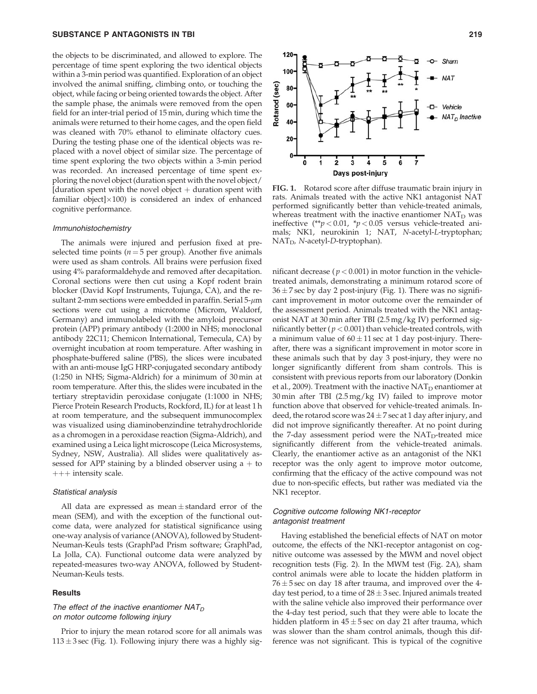## SUBSTANCE P ANTAGONISTS IN TBI 219

the objects to be discriminated, and allowed to explore. The percentage of time spent exploring the two identical objects within a 3-min period was quantified. Exploration of an object involved the animal sniffing, climbing onto, or touching the object, while facing or being oriented towards the object. After the sample phase, the animals were removed from the open field for an inter-trial period of 15 min, during which time the animals were returned to their home cages, and the open field was cleaned with 70% ethanol to eliminate olfactory cues. During the testing phase one of the identical objects was replaced with a novel object of similar size. The percentage of time spent exploring the two objects within a 3-min period was recorded. An increased percentage of time spent exploring the novel object (duration spent with the novel object/ [duration spent with the novel object  $+$  duration spent with familiar object $]\times100$ ) is considered an index of enhanced cognitive performance.

#### Immunohistochemistry

The animals were injured and perfusion fixed at preselected time points ( $n = 5$  per group). Another five animals were used as sham controls. All brains were perfusion fixed using 4% paraformaldehyde and removed after decapitation. Coronal sections were then cut using a Kopf rodent brain blocker (David Kopf Instruments, Tujunga, CA), and the resultant 2-mm sections were embedded in paraffin. Serial  $5-\mu m$ sections were cut using a microtome (Microm, Waldorf, Germany) and immunolabeled with the amyloid precursor protein (APP) primary antibody (1:2000 in NHS; monoclonal antibody 22C11; Chemicon International, Temecula, CA) by overnight incubation at room temperature. After washing in phosphate-buffered saline (PBS), the slices were incubated with an anti-mouse IgG HRP-conjugated secondary antibody (1:250 in NHS; Sigma-Aldrich) for a minimum of 30 min at room temperature. After this, the slides were incubated in the tertiary streptavidin peroxidase conjugate (1:1000 in NHS; Pierce Protein Research Products, Rockford, IL) for at least 1 h at room temperature, and the subsequent immunocomplex was visualized using diaminobenzindine tetrahydrochloride as a chromogen in a peroxidase reaction (Sigma-Aldrich), and examined using a Leica light microscope (Leica Microsystems, Sydney, NSW, Australia). All slides were qualitatively assessed for APP staining by a blinded observer using  $a + to$  $+++$  intensity scale.

#### Statistical analysis

All data are expressed as mean $\pm$ standard error of the mean (SEM), and with the exception of the functional outcome data, were analyzed for statistical significance using one-way analysis of variance (ANOVA), followed by Student-Neuman-Keuls tests (GraphPad Prism software; GraphPad, La Jolla, CA). Functional outcome data were analyzed by repeated-measures two-way ANOVA, followed by Student-Neuman-Keuls tests.

#### **Results**

# The effect of the inactive enantiomer  $NAT_D$ on motor outcome following injury

Prior to injury the mean rotarod score for all animals was  $113 \pm 3$  sec (Fig. 1). Following injury there was a highly sig-



FIG. 1. Rotarod score after diffuse traumatic brain injury in rats. Animals treated with the active NK1 antagonist NAT performed significantly better than vehicle-treated animals, whereas treatment with the inactive enantiomer  $NAT<sub>D</sub>$  was ineffective (\*\* $p < 0.01$ , \* $p < 0.05$  versus vehicle-treated animals; NK1, neurokinin 1; NAT, N-acetyl-L-tryptophan; NAT<sub>D</sub>, N-acetyl-D-tryptophan).

nificant decrease ( $p < 0.001$ ) in motor function in the vehicletreated animals, demonstrating a minimum rotarod score of  $36 \pm 7$  sec by day 2 post-injury (Fig. 1). There was no significant improvement in motor outcome over the remainder of the assessment period. Animals treated with the NK1 antagonist NAT at 30 min after TBI (2.5 mg/kg IV) performed significantly better ( $p < 0.001$ ) than vehicle-treated controls, with a minimum value of  $60 \pm 11$  sec at 1 day post-injury. Thereafter, there was a significant improvement in motor score in these animals such that by day 3 post-injury, they were no longer significantly different from sham controls. This is consistent with previous reports from our laboratory (Donkin et al., 2009). Treatment with the inactive  $NAT<sub>D</sub>$  enantiomer at 30 min after TBI (2.5 mg/kg IV) failed to improve motor function above that observed for vehicle-treated animals. Indeed, the rotarod score was 24  $\pm$  7 sec at 1 day after injury, and did not improve significantly thereafter. At no point during the 7-day assessment period were the  $NAT<sub>D</sub>$ -treated mice significantly different from the vehicle-treated animals. Clearly, the enantiomer active as an antagonist of the NK1 receptor was the only agent to improve motor outcome, confirming that the efficacy of the active compound was not due to non-specific effects, but rather was mediated via the NK1 receptor.

# Cognitive outcome following NK1-receptor antagonist treatment

Having established the beneficial effects of NAT on motor outcome, the effects of the NK1-receptor antagonist on cognitive outcome was assessed by the MWM and novel object recognition tests (Fig. 2). In the MWM test (Fig. 2A), sham control animals were able to locate the hidden platform in  $76 \pm 5$  sec on day 18 after trauma, and improved over the 4day test period, to a time of 28  $\pm$  3 sec. Injured animals treated with the saline vehicle also improved their performance over the 4-day test period, such that they were able to locate the hidden platform in 45 $\pm$ 5 sec on day 21 after trauma, which was slower than the sham control animals, though this difference was not significant. This is typical of the cognitive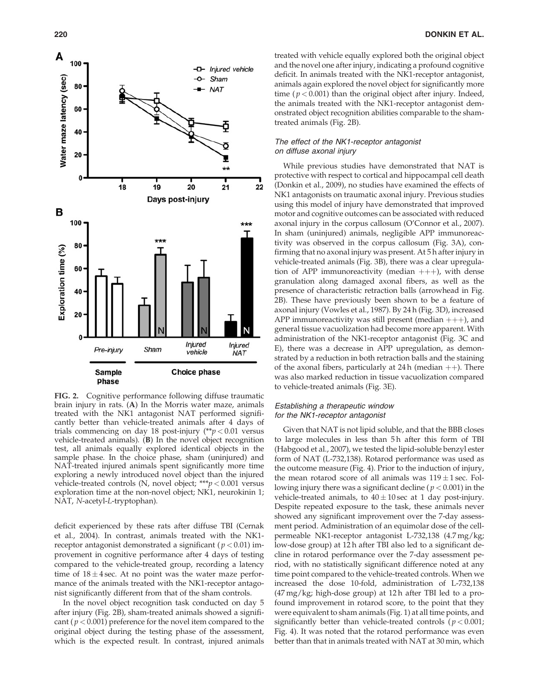

FIG. 2. Cognitive performance following diffuse traumatic brain injury in rats. (A) In the Morris water maze, animals treated with the NK1 antagonist NAT performed significantly better than vehicle-treated animals after 4 days of trials commencing on day 18 post-injury  $(*p < 0.01$  versus vehicle-treated animals). (B) In the novel object recognition test, all animals equally explored identical objects in the sample phase. In the choice phase, sham (uninjured) and NAT-treated injured animals spent significantly more time exploring a newly introduced novel object than the injured vehicle-treated controls (N, novel object; \*\*\* $p < 0.001$  versus exploration time at the non-novel object; NK1, neurokinin 1; NAT, N-acetyl-L-tryptophan).

deficit experienced by these rats after diffuse TBI (Cernak et al., 2004). In contrast, animals treated with the NK1 receptor antagonist demonstrated a significant ( $p < 0.01$ ) improvement in cognitive performance after 4 days of testing compared to the vehicle-treated group, recording a latency time of  $18 \pm 4$  sec. At no point was the water maze performance of the animals treated with the NK1-receptor antagonist significantly different from that of the sham controls.

In the novel object recognition task conducted on day 5 after injury (Fig. 2B), sham-treated animals showed a significant ( $p < 0.001$ ) preference for the novel item compared to the original object during the testing phase of the assessment, which is the expected result. In contrast, injured animals treated with vehicle equally explored both the original object and the novel one after injury, indicating a profound cognitive deficit. In animals treated with the NK1-receptor antagonist, animals again explored the novel object for significantly more time ( $p < 0.001$ ) than the original object after injury. Indeed, the animals treated with the NK1-receptor antagonist demonstrated object recognition abilities comparable to the shamtreated animals (Fig. 2B).

## The effect of the NK1-receptor antagonist on diffuse axonal injury

While previous studies have demonstrated that NAT is protective with respect to cortical and hippocampal cell death (Donkin et al., 2009), no studies have examined the effects of NK1 antagonists on traumatic axonal injury. Previous studies using this model of injury have demonstrated that improved motor and cognitive outcomes can be associated with reduced axonal injury in the corpus callosum (O'Connor et al., 2007). In sham (uninjured) animals, negligible APP immunoreactivity was observed in the corpus callosum (Fig. 3A), confirming that no axonal injury was present. At 5 h after injury in vehicle-treated animals (Fig. 3B), there was a clear upregulation of APP immunoreactivity (median  $++$ ), with dense granulation along damaged axonal fibers, as well as the presence of characteristic retraction balls (arrowhead in Fig. 2B). These have previously been shown to be a feature of axonal injury (Vowles et al., 1987). By 24 h (Fig. 3D), increased APP immunoreactivity was still present (median  $++$ ), and general tissue vacuolization had become more apparent. With administration of the NK1-receptor antagonist (Fig. 3C and E), there was a decrease in APP upregulation, as demonstrated by a reduction in both retraction balls and the staining of the axonal fibers, particularly at 24 h (median  $++$ ). There was also marked reduction in tissue vacuolization compared to vehicle-treated animals (Fig. 3E).

## Establishing a therapeutic window for the NK1-receptor antagonist

Given that NAT is not lipid soluble, and that the BBB closes to large molecules in less than 5h after this form of TBI (Habgood et al., 2007), we tested the lipid-soluble benzyl ester form of NAT (L-732,138). Rotarod performance was used as the outcome measure (Fig. 4). Prior to the induction of injury, the mean rotarod score of all animals was  $119 \pm 1$  sec. Following injury there was a significant decline ( $p < 0.001$ ) in the vehicle-treated animals, to  $40 \pm 10$  sec at 1 day post-injury. Despite repeated exposure to the task, these animals never showed any significant improvement over the 7-day assessment period. Administration of an equimolar dose of the cellpermeable NK1-receptor antagonist L-732,138 (4.7 mg/kg; low-dose group) at 12 h after TBI also led to a significant decline in rotarod performance over the 7-day assessment period, with no statistically significant difference noted at any time point compared to the vehicle-treated controls. When we increased the dose 10-fold, administration of L-732,138 (47 mg/kg; high-dose group) at 12 h after TBI led to a profound improvement in rotarod score, to the point that they were equivalent to sham animals (Fig. 1) at all time points, and significantly better than vehicle-treated controls ( $p < 0.001$ ; Fig. 4). It was noted that the rotarod performance was even better than that in animals treated with NAT at 30 min, which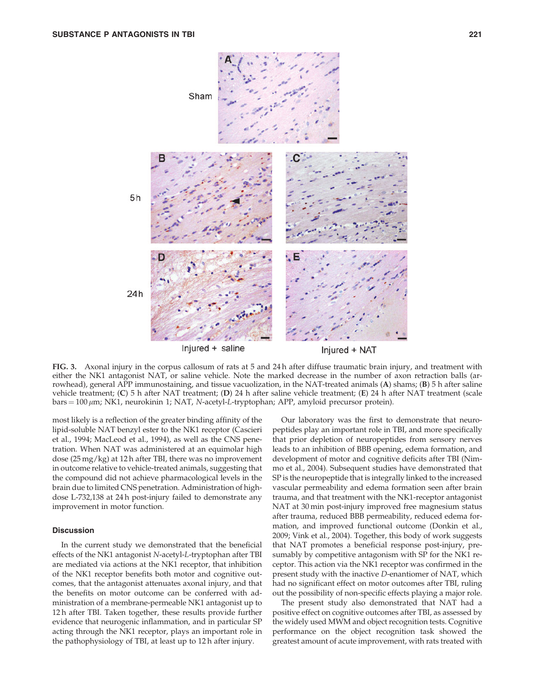

FIG. 3. Axonal injury in the corpus callosum of rats at 5 and 24 h after diffuse traumatic brain injury, and treatment with either the NK1 antagonist NAT, or saline vehicle. Note the marked decrease in the number of axon retraction balls (arrowhead), general APP immunostaining, and tissue vacuolization, in the NAT-treated animals (A) shams; (B) 5 h after saline vehicle treatment; (C) 5 h after NAT treatment; (D) 24 h after saline vehicle treatment; (E) 24 h after NAT treatment (scale  $bars = 100 \mu m$ ; NK1, neurokinin 1; NAT, N-acetyl-L-tryptophan; APP, amyloid precursor protein).

most likely is a reflection of the greater binding affinity of the lipid-soluble NAT benzyl ester to the NK1 receptor (Cascieri et al., 1994; MacLeod et al., 1994), as well as the CNS penetration. When NAT was administered at an equimolar high dose (25 mg/kg) at 12 h after TBI, there was no improvement in outcome relative to vehicle-treated animals, suggesting that the compound did not achieve pharmacological levels in the brain due to limited CNS penetration. Administration of highdose L-732,138 at 24 h post-injury failed to demonstrate any improvement in motor function.

# **Discussion**

In the current study we demonstrated that the beneficial effects of the NK1 antagonist N-acetyl-L-tryptophan after TBI are mediated via actions at the NK1 receptor, that inhibition of the NK1 receptor benefits both motor and cognitive outcomes, that the antagonist attenuates axonal injury, and that the benefits on motor outcome can be conferred with administration of a membrane-permeable NK1 antagonist up to 12 h after TBI. Taken together, these results provide further evidence that neurogenic inflammation, and in particular SP acting through the NK1 receptor, plays an important role in the pathophysiology of TBI, at least up to 12 h after injury.

Our laboratory was the first to demonstrate that neuropeptides play an important role in TBI, and more specifically that prior depletion of neuropeptides from sensory nerves leads to an inhibition of BBB opening, edema formation, and development of motor and cognitive deficits after TBI (Nimmo et al., 2004). Subsequent studies have demonstrated that SP is the neuropeptide that is integrally linked to the increased vascular permeability and edema formation seen after brain trauma, and that treatment with the NK1-receptor antagonist NAT at 30 min post-injury improved free magnesium status after trauma, reduced BBB permeability, reduced edema formation, and improved functional outcome (Donkin et al., 2009; Vink et al., 2004). Together, this body of work suggests that NAT promotes a beneficial response post-injury, presumably by competitive antagonism with SP for the NK1 receptor. This action via the NK1 receptor was confirmed in the present study with the inactive D-enantiomer of NAT, which had no significant effect on motor outcomes after TBI, ruling out the possibility of non-specific effects playing a major role.

The present study also demonstrated that NAT had a positive effect on cognitive outcomes after TBI, as assessed by the widely used MWM and object recognition tests. Cognitive performance on the object recognition task showed the greatest amount of acute improvement, with rats treated with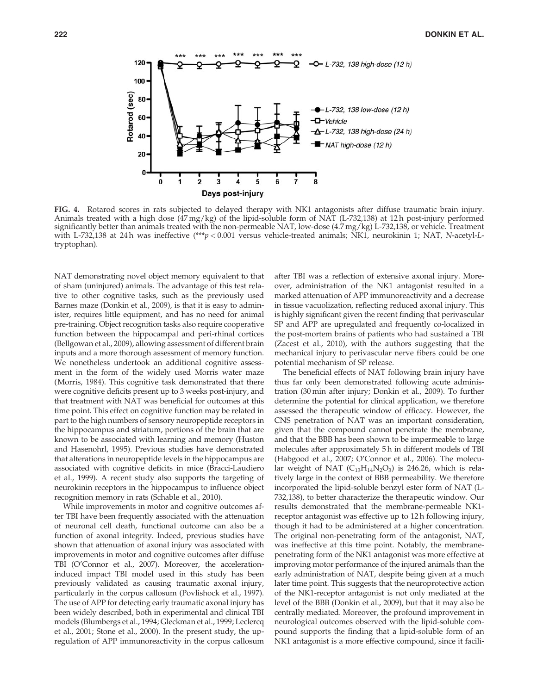

FIG. 4. Rotarod scores in rats subjected to delayed therapy with NK1 antagonists after diffuse traumatic brain injury. Animals treated with a high dose (47 mg/kg) of the lipid-soluble form of NAT (L-732,138) at 12 h post-injury performed significantly better than animals treated with the non-permeable NAT, low-dose (4.7 mg/kg) L-732,138, or vehicle. Treatment with L-732,138 at 24 h was ineffective (\*\*\*p < 0.001 versus vehicle-treated animals; NK1, neurokinin 1; NAT, N-acetyl-Ltryptophan).

NAT demonstrating novel object memory equivalent to that of sham (uninjured) animals. The advantage of this test relative to other cognitive tasks, such as the previously used Barnes maze (Donkin et al., 2009), is that it is easy to administer, requires little equipment, and has no need for animal pre-training. Object recognition tasks also require cooperative function between the hippocampal and peri-rhinal cortices (Bellgowan et al., 2009), allowing assessment of different brain inputs and a more thorough assessment of memory function. We nonetheless undertook an additional cognitive assessment in the form of the widely used Morris water maze (Morris, 1984). This cognitive task demonstrated that there were cognitive deficits present up to 3 weeks post-injury, and that treatment with NAT was beneficial for outcomes at this time point. This effect on cognitive function may be related in part to the high numbers of sensory neuropeptide receptors in the hippocampus and striatum, portions of the brain that are known to be associated with learning and memory (Huston and Hasenohrl, 1995). Previous studies have demonstrated that alterations in neuropeptide levels in the hippocampus are associated with cognitive deficits in mice (Bracci-Laudiero et al., 1999). A recent study also supports the targeting of neurokinin receptors in the hippocampus to influence object recognition memory in rats (Schable et al., 2010).

While improvements in motor and cognitive outcomes after TBI have been frequently associated with the attenuation of neuronal cell death, functional outcome can also be a function of axonal integrity. Indeed, previous studies have shown that attenuation of axonal injury was associated with improvements in motor and cognitive outcomes after diffuse TBI (O'Connor et al., 2007). Moreover, the accelerationinduced impact TBI model used in this study has been previously validated as causing traumatic axonal injury, particularly in the corpus callosum (Povlishock et al., 1997). The use of APP for detecting early traumatic axonal injury has been widely described, both in experimental and clinical TBI models (Blumbergs et al., 1994; Gleckman et al., 1999; Leclercq et al., 2001; Stone et al., 2000). In the present study, the upregulation of APP immunoreactivity in the corpus callosum after TBI was a reflection of extensive axonal injury. Moreover, administration of the NK1 antagonist resulted in a marked attenuation of APP immunoreactivity and a decrease in tissue vacuolization, reflecting reduced axonal injury. This is highly significant given the recent finding that perivascular SP and APP are upregulated and frequently co-localized in the post-mortem brains of patients who had sustained a TBI (Zacest et al., 2010), with the authors suggesting that the mechanical injury to perivascular nerve fibers could be one potential mechanism of SP release.

The beneficial effects of NAT following brain injury have thus far only been demonstrated following acute administration (30 min after injury; Donkin et al., 2009). To further determine the potential for clinical application, we therefore assessed the therapeutic window of efficacy. However, the CNS penetration of NAT was an important consideration, given that the compound cannot penetrate the membrane, and that the BBB has been shown to be impermeable to large molecules after approximately 5 h in different models of TBI (Habgood et al., 2007; O'Connor et al., 2006). The molecular weight of NAT  $(C_{13}H_{14}N_2O_3)$  is 246.26, which is relatively large in the context of BBB permeability. We therefore incorporated the lipid-soluble benzyl ester form of NAT (L-732,138), to better characterize the therapeutic window. Our results demonstrated that the membrane-permeable NK1 receptor antagonist was effective up to 12 h following injury, though it had to be administered at a higher concentration. The original non-penetrating form of the antagonist, NAT, was ineffective at this time point. Notably, the membranepenetrating form of the NK1 antagonist was more effective at improving motor performance of the injured animals than the early administration of NAT, despite being given at a much later time point. This suggests that the neuroprotective action of the NK1-receptor antagonist is not only mediated at the level of the BBB (Donkin et al., 2009), but that it may also be centrally mediated. Moreover, the profound improvement in neurological outcomes observed with the lipid-soluble compound supports the finding that a lipid-soluble form of an NK1 antagonist is a more effective compound, since it facili-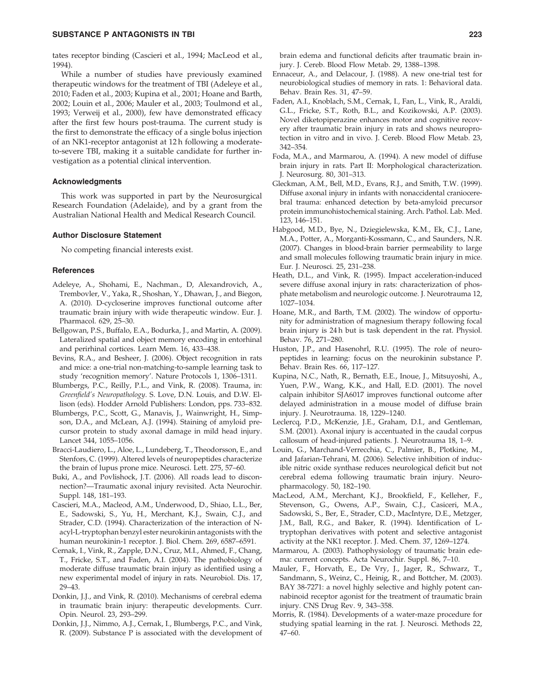## SUBSTANCE P ANTAGONISTS IN TBI 223

tates receptor binding (Cascieri et al., 1994; MacLeod et al., 1994).

While a number of studies have previously examined therapeutic windows for the treatment of TBI (Adeleye et al., 2010; Faden et al., 2003; Kupina et al., 2001; Hoane and Barth, 2002; Louin et al., 2006; Mauler et al., 2003; Toulmond et al., 1993; Verweij et al., 2000), few have demonstrated efficacy after the first few hours post-trauma. The current study is the first to demonstrate the efficacy of a single bolus injection of an NK1-receptor antagonist at 12 h following a moderateto-severe TBI, making it a suitable candidate for further investigation as a potential clinical intervention.

## Acknowledgments

This work was supported in part by the Neurosurgical Research Foundation (Adelaide), and by a grant from the Australian National Health and Medical Research Council.

## Author Disclosure Statement

No competing financial interests exist.

#### **References**

- Adeleye, A., Shohami, E., Nachman., D, Alexandrovich, A., Trembovler, V., Yaka, R., Shoshan, Y., Dhawan, J., and Biegon, A. (2010). D-cycloserine improves functional outcome after traumatic brain injury with wide therapeutic window. Eur. J. Pharmacol. 629, 25–30.
- Bellgowan, P.S., Buffalo, E.A., Bodurka, J., and Martin, A. (2009). Lateralized spatial and object memory encoding in entorhinal and perirhinal cortices. Learn Mem. 16, 433–438.
- Bevins, R.A., and Besheer, J. (2006). Object recognition in rats and mice: a one-trial non-matching-to-sample learning task to study 'recognition memory'. Nature Protocols 1, 1306–1311.
- Blumbergs, P.C., Reilly, P.L., and Vink, R. (2008). Trauma, in: Greenfield's Neuropathology. S. Love, D.N. Louis, and D.W. Ellison (eds). Hodder Arnold Publishers: London, pps. 733–832.
- Blumbergs, P.C., Scott, G., Manavis, J., Wainwright, H., Simpson, D.A., and McLean, A.J. (1994). Staining of amyloid precursor protein to study axonal damage in mild head injury. Lancet 344, 1055–1056.
- Bracci-Laudiero, L., Aloe, L., Lundeberg, T., Theodorsson, E., and Stenfors, C. (1999). Altered levels of neuropeptides characterize the brain of lupus prone mice. Neurosci. Lett. 275, 57–60.
- Buki, A., and Povlishock, J.T. (2006). All roads lead to disconnection?—Traumatic axonal injury revisited. Acta Neurochir. Suppl. 148, 181–193.
- Cascieri, M.A., Macleod, A.M., Underwood, D., Shiao, L.L., Ber, E., Sadowski, S., Yu, H., Merchant, K.J., Swain, C.J., and Strader, C.D. (1994). Characterization of the interaction of Nacyl-L-tryptophan benzyl ester neurokinin antagonists with the human neurokinin-1 receptor. J. Biol. Chem. 269, 6587–6591.
- Cernak, I., Vink, R., Zapple, D.N., Cruz, M.I., Ahmed, F., Chang, T., Fricke, S.T., and Faden, A.I. (2004). The pathobiology of moderate diffuse traumatic brain injury as identified using a new experimental model of injury in rats. Neurobiol. Dis. 17, 29–43.
- Donkin, J.J., and Vink, R. (2010). Mechanisms of cerebral edema in traumatic brain injury: therapeutic developments. Curr. Opin. Neurol. 23, 293–299.
- Donkin, J.J., Nimmo, A.J., Cernak, I., Blumbergs, P.C., and Vink, R. (2009). Substance P is associated with the development of

brain edema and functional deficits after traumatic brain injury. J. Cereb. Blood Flow Metab. 29, 1388–1398.

- Ennaceur, A., and Delacour, J. (1988). A new one-trial test for neurobiological studies of memory in rats. 1: Behavioral data. Behav. Brain Res. 31, 47–59.
- Faden, A.I., Knoblach, S.M., Cernak, I., Fan, L., Vink, R., Araldi, G.L., Fricke, S.T., Roth, B.L., and Kozikowski, A.P. (2003). Novel diketopiperazine enhances motor and cognitive recovery after traumatic brain injury in rats and shows neuroprotection in vitro and in vivo. J. Cereb. Blood Flow Metab. 23, 342–354.
- Foda, M.A., and Marmarou, A. (1994). A new model of diffuse brain injury in rats. Part II: Morphological characterization. J. Neurosurg. 80, 301–313.
- Gleckman, A.M., Bell, M.D., Evans, R.J., and Smith, T.W. (1999). Diffuse axonal injury in infants with nonaccidental craniocerebral trauma: enhanced detection by beta-amyloid precursor protein immunohistochemical staining. Arch. Pathol. Lab. Med. 123, 146–151.
- Habgood, M.D., Bye, N., Dziegielewska, K.M., Ek, C.J., Lane, M.A., Potter, A., Morganti-Kossmann, C., and Saunders, N.R. (2007). Changes in blood-brain barrier permeability to large and small molecules following traumatic brain injury in mice. Eur. J. Neurosci. 25, 231–238.
- Heath, D.L., and Vink, R. (1995). Impact acceleration-induced severe diffuse axonal injury in rats: characterization of phosphate metabolism and neurologic outcome. J. Neurotrauma 12, 1027–1034.
- Hoane, M.R., and Barth, T.M. (2002). The window of opportunity for administration of magnesium therapy following focal brain injury is 24 h but is task dependent in the rat. Physiol. Behav. 76, 271–280.
- Huston, J.P., and Hasenohrl, R.U. (1995). The role of neuropeptides in learning: focus on the neurokinin substance P. Behav. Brain Res. 66, 117–127.
- Kupina, N.C., Nath, R., Bernath, E.E., Inoue, J., Mitsuyoshi, A., Yuen, P.W., Wang, K.K., and Hall, E.D. (2001). The novel calpain inhibitor SJA6017 improves functional outcome after delayed administration in a mouse model of diffuse brain injury. J. Neurotrauma. 18, 1229–1240.
- Leclercq, P.D., McKenzie, J.E., Graham, D.I., and Gentleman, S.M. (2001). Axonal injury is accentuated in the caudal corpus callosum of head-injured patients. J. Neurotrauma 18, 1–9.
- Louin, G., Marchand-Verrecchia, C., Palmier, B., Plotkine, M., and Jafarian-Tehrani, M. (2006). Selective inhibition of inducible nitric oxide synthase reduces neurological deficit but not cerebral edema following traumatic brain injury. Neuropharmacology. 50, 182–190.
- MacLeod, A.M., Merchant, K.J., Brookfield, F., Kelleher, F., Stevenson, G., Owens, A.P., Swain, C.J., Casiceri, M.A., Sadowski, S., Ber, E., Strader, C.D., MacIntyre, D.E., Metzger, J.M., Ball, R.G., and Baker, R. (1994). Identification of Ltryptophan derivatives with potent and selective antagonist activity at the NK1 receptor. J. Med. Chem. 37, 1269–1274.
- Marmarou, A. (2003). Pathophysiology of traumatic brain edema: current concepts. Acta Neurochir. Suppl. 86, 7–10.
- Mauler, F., Horvath, E., De Vry, J., Jager, R., Schwarz, T., Sandmann, S., Weinz, C., Heinig, R., and Bottcher, M. (2003). BAY 38-7271: a novel highly selective and highly potent cannabinoid receptor agonist for the treatment of traumatic brain injury. CNS Drug Rev. 9, 343–358.
- Morris, R. (1984). Developments of a water-maze procedure for studying spatial learning in the rat. J. Neurosci. Methods 22, 47–60.